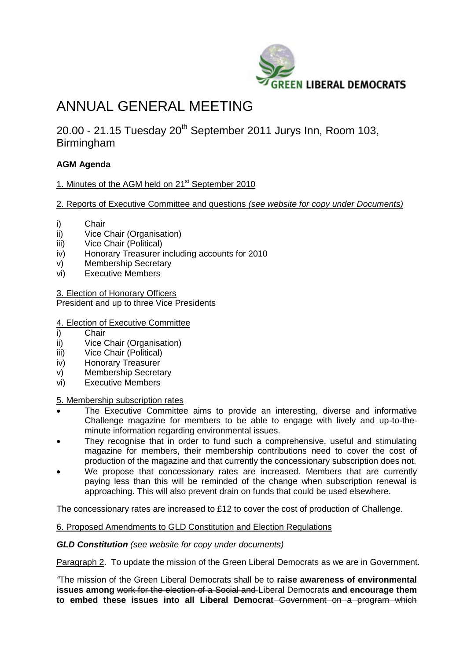

# ANNUAL GENERAL MEETING

20.00 - 21.15 Tuesday 20<sup>th</sup> September 2011 Jurys Inn, Room 103, Birmingham

## **AGM Agenda**

1. Minutes of the AGM held on 21<sup>st</sup> September 2010

### 2. Reports of Executive Committee and questions *(see website for copy under Documents)*

- i) Chair
- ii) Vice Chair (Organisation)
- iii) Vice Chair (Political)
- iv) Honorary Treasurer including accounts for 2010
- v) Membership Secretary
- vi) Executive Members

3. Election of Honorary Officers

President and up to three Vice Presidents

#### 4. Election of Executive Committee

- i) Chair
- ii) Vice Chair (Organisation)
- iii) Vice Chair (Political)
- iv) Honorary Treasurer
- v) Membership Secretary
- vi) Executive Members

5. Membership subscription rates

- The Executive Committee aims to provide an interesting, diverse and informative Challenge magazine for members to be able to engage with lively and up-to-theminute information regarding environmental issues.
- They recognise that in order to fund such a comprehensive, useful and stimulating magazine for members, their membership contributions need to cover the cost of production of the magazine and that currently the concessionary subscription does not.
- We propose that concessionary rates are increased. Members that are currently paying less than this will be reminded of the change when subscription renewal is approaching. This will also prevent drain on funds that could be used elsewhere.

The concessionary rates are increased to £12 to cover the cost of production of Challenge.

#### 6. Proposed Amendments to GLD Constitution and Election Regulations

#### *GLD Constitution (see website for copy under documents)*

Paragraph 2. To update the mission of the Green Liberal Democrats as we are in Government.

*"*The mission of the Green Liberal Democrats shall be to **raise awareness of environmental issues among** work for the election of a Social and Liberal Democrat**s and encourage them to embed these issues into all Liberal Democrat** Government on a program which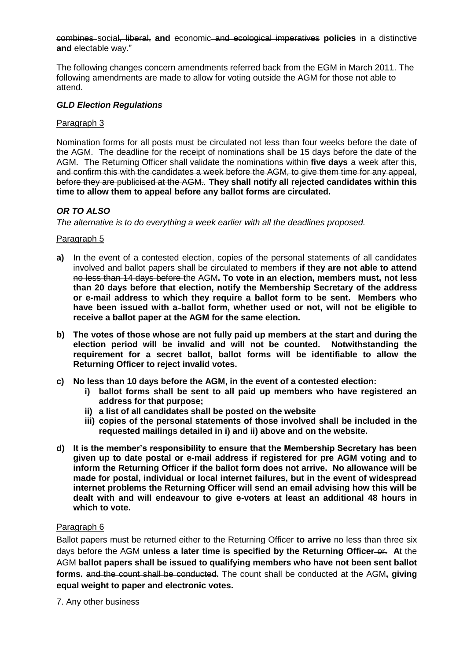combines social, liberal, **and** economic and ecological imperatives **policies** in a distinctive **and** electable way."

The following changes concern amendments referred back from the EGM in March 2011. The following amendments are made to allow for voting outside the AGM for those not able to attend.

#### *GLD Election Regulations*

#### Paragraph 3

Nomination forms for all posts must be circulated not less than four weeks before the date of the AGM. The deadline for the receipt of nominations shall be 15 days before the date of the AGM. The Returning Officer shall validate the nominations within **five days** a week after this, and confirm this with the candidates a week before the AGM, to give them time for any appeal, before they are publicised at the AGM.*.* **They shall notify all rejected candidates within this time to allow them to appeal before any ballot forms are circulated.**

#### *OR TO ALSO*

*The alternative is to do everything a week earlier with all the deadlines proposed.*

#### Paragraph 5

- **a)** In the event of a contested election, copies of the personal statements of all candidates involved and ballot papers shall be circulated to members **if they are not able to attend**  no less than 14 days before the AGM**. To vote in an election, members must, not less than 20 days before that election, notify the Membership Secretary of the address or e-mail address to which they require a ballot form to be sent. Members who have been issued with a ballot form, whether used or not, will not be eligible to receive a ballot paper at the AGM for the same election.**
- **b) The votes of those whose are not fully paid up members at the start and during the election period will be invalid and will not be counted. Notwithstanding the requirement for a secret ballot, ballot forms will be identifiable to allow the Returning Officer to reject invalid votes.**
- **c) No less than 10 days before the AGM, in the event of a contested election:** 
	- **i) ballot forms shall be sent to all paid up members who have registered an address for that purpose;**
	- **ii) a list of all candidates shall be posted on the website**
	- **iii) copies of the personal statements of those involved shall be included in the requested mailings detailed in i) and ii) above and on the website.**
- **d) It is the member's responsibility to ensure that the Membership Secretary has been given up to date postal or e-mail address if registered for pre AGM voting and to inform the Returning Officer if the ballot form does not arrive. No allowance will be made for postal, individual or local internet failures, but in the event of widespread internet problems the Returning Officer will send an email advising how this will be dealt with and will endeavour to give e-voters at least an additional 48 hours in which to vote.**

#### Paragraph 6

Ballot papers must be returned either to the Returning Officer **to arrive** no less than three six days before the AGM unless a later time is specified by the Returning Officer-or. At the AGM **ballot papers shall be issued to qualifying members who have not been sent ballot forms.** and the count shall be conducted**.** The count shall be conducted at the AGM**, giving equal weight to paper and electronic votes.**

7. Any other business